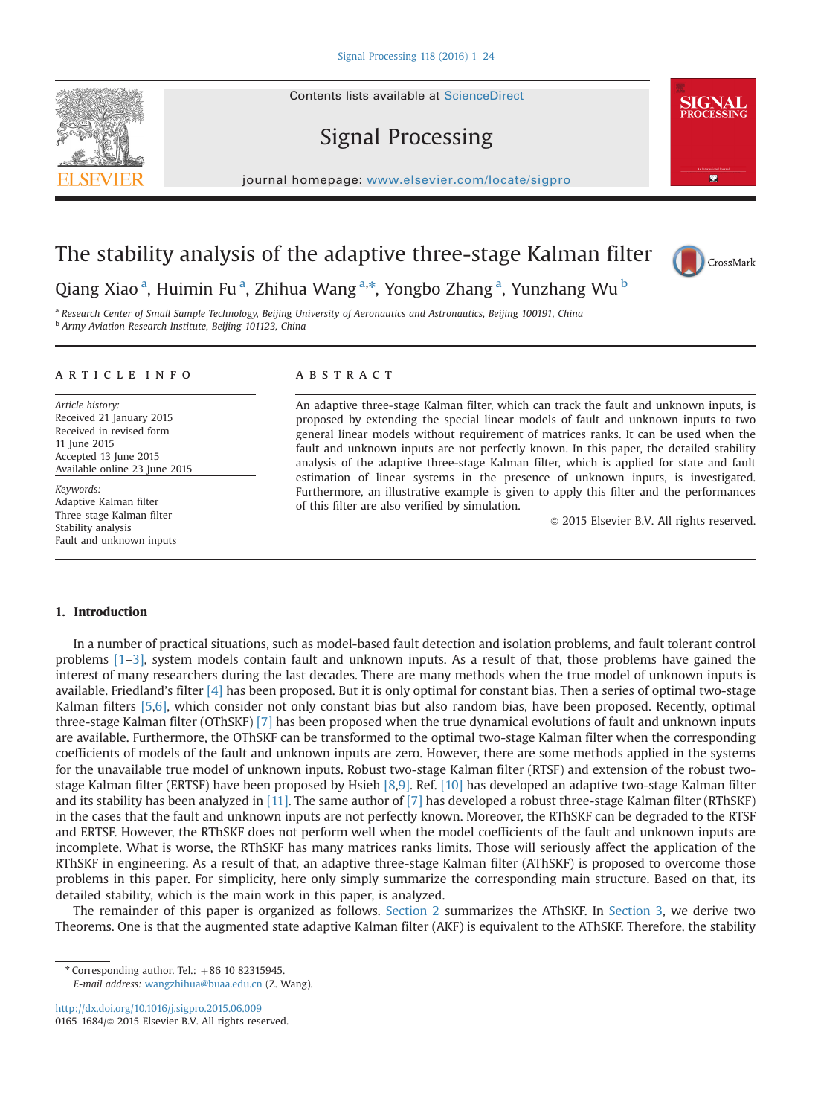# Signal Processing

journal homepage: <www.elsevier.com/locate/sigpro>

# The stability analysis of the adaptive three-stage Kalman filter

Qiang Xiao <sup>a</sup>, Huimin Fu <sup>a</sup>, Zhihua Wang <sup>a,\*</sup>, Yongbo Zhang <sup>a</sup>, Yunzhang Wu <sup>b</sup>

a Research Center of Small Sample Technology, Beijing University of Aeronautics and Astronautics, Beijing 100191, China **b Army Aviation Research Institute, Beijing 101123, China** 

#### article info

Article history: Received 21 January 2015 Received in revised form 11 June 2015 Accepted 13 June 2015 Available online 23 June 2015

Keywords: Adaptive Kalman filter Three-stage Kalman filter Stability analysis Fault and unknown inputs

## **ABSTRACT**

An adaptive three-stage Kalman filter, which can track the fault and unknown inputs, is proposed by extending the special linear models of fault and unknown inputs to two general linear models without requirement of matrices ranks. It can be used when the fault and unknown inputs are not perfectly known. In this paper, the detailed stability analysis of the adaptive three-stage Kalman filter, which is applied for state and fault estimation of linear systems in the presence of unknown inputs, is investigated. Furthermore, an illustrative example is given to apply this filter and the performances of this filter are also verified by simulation.

 $\odot$  2015 Elsevier B.V. All rights reserved.

### 1. Introduction

In a number of practical situations, such as model-based fault detection and isolation problems, and fault tolerant control problems [1–3], system models contain fault and unknown inputs. As a result of that, those problems have gained the interest of many researchers during the last decades. There are many methods when the true model of unknown inputs is available. Friedland's filter [4] has been proposed. But it is only optimal for constant bias. Then a series of optimal two-stage Kalman filters [5,6], which consider not only constant bias but also random bias, have been proposed. Recently, optimal three-stage Kalman filter (OThSKF) [7] has been proposed when the true dynamical evolutions of fault and unknown inputs are available. Furthermore, the OThSKF can be transformed to the optimal two-stage Kalman filter when the corresponding coefficients of models of the fault and unknown inputs are zero. However, there are some methods applied in the systems for the unavailable true model of unknown inputs. Robust two-stage Kalman filter (RTSF) and extension of the robust twostage Kalman filter (ERTSF) have been proposed by Hsieh [8,9]. Ref. [10] has developed an adaptive two-stage Kalman filter and its stability has been analyzed in [11]. The same author of [7] has developed a robust three-stage Kalman filter (RThSKF) in the cases that the fault and unknown inputs are not perfectly known. Moreover, the RThSKF can be degraded to the RTSF and ERTSF. However, the RThSKF does not perform well when the model coefficients of the fault and unknown inputs are incomplete. What is worse, the RThSKF has many matrices ranks limits. Those will seriously affect the application of the RThSKF in engineering. As a result of that, an adaptive three-stage Kalman filter (AThSKF) is proposed to overcome those problems in this paper. For simplicity, here only simply summarize the corresponding main structure. Based on that, its detailed stability, which is the main work in this paper, is analyzed.

The remainder of this paper is organized as follows. Section 2 summarizes the AThSKF. In Section 3, we derive two Theorems. One is that the augmented state adaptive Kalman filter (AKF) is equivalent to the AThSKF. Therefore, the stability

 $*$  Corresponding author. Tel.:  $+86$  10 82315945. E-mail address: [wangzhihua@buaa.edu.cn](mailto:wangzhihua@buaa.edu.cn) (Z. Wang).

<http://dx.doi.org/10.1016/j.sigpro.2015.06.009> 0165-1684/& 2015 Elsevier B.V. All rights reserved.





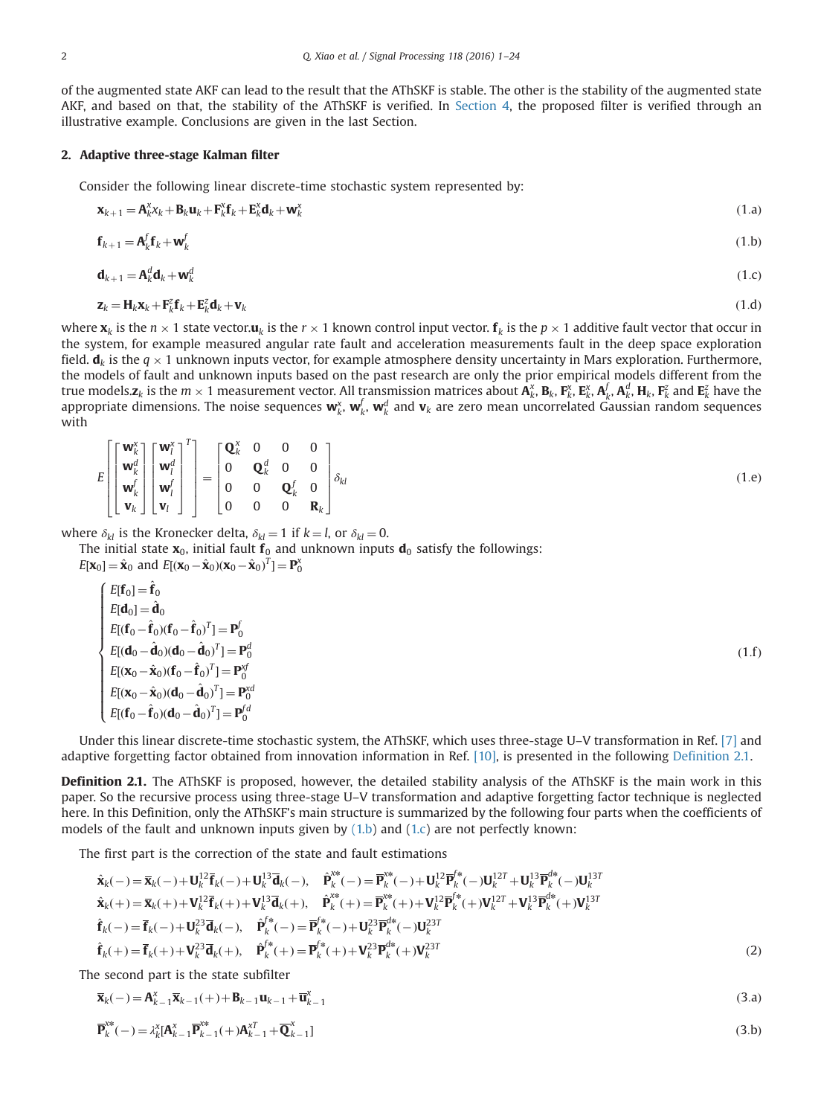of the augmented state AKF can lead to the result that the AThSKF is stable. The other is the stability of the augmented state AKF, and based on that, the stability of the AThSKF is verified. In Section 4, the proposed filter is verified through an illustrative example. Conclusions are given in the last Section.

### 2. Adaptive three-stage Kalman filter

Consider the following linear discrete-time stochastic system represented by:

$$
\mathbf{x}_{k+1} = \mathbf{A}_k^{\mathsf{x}} \mathbf{x}_k + \mathbf{B}_k \mathbf{u}_k + \mathbf{F}_k^{\mathsf{x}} \mathbf{f}_k + \mathbf{E}_k^{\mathsf{x}} \mathbf{d}_k + \mathbf{w}_k^{\mathsf{x}}
$$
(1.a)

$$
\mathbf{f}_{k+1} = \mathbf{A}_k^f \mathbf{f}_k + \mathbf{w}_k^f \tag{1.b}
$$

$$
\mathbf{d}_{k+1} = \mathbf{A}_k^d \mathbf{d}_k + \mathbf{w}_k^d \tag{1.c}
$$

$$
\mathbf{z}_k = \mathbf{H}_k \mathbf{x}_k + \mathbf{F}_k^2 \mathbf{f}_k + \mathbf{E}_k^2 \mathbf{d}_k + \mathbf{v}_k
$$
 (1.d)

where  $\mathbf{x}_k$  is the  $n \times 1$  state vector.  $\mathbf{u}_k$  is the  $r \times 1$  known control input vector.  $\mathbf{f}_k$  is the  $p \times 1$  additive fault vector that occur in<br>the system, for example measured appular rate fault and acceler the system, for example measured angular rate fault and acceleration measurements fault in the deep space exploration field.  $\mathbf{d}_k$  is the  $q \times 1$  unknown inputs vector, for example atmosphere density uncertainty in Mars exploration. Furthermore,<br>the models of fault and unknown inputs based on the past research are only the prior empi the models of fault and unknown inputs based on the past research are only the prior empirical models different from the true models. $z_k$  is the  $m \times 1$  measurement vector. All transmission matrices about  $\mathbf{A}_k^{\chi}, \mathbf{B}_k, \mathbf{F}_k^{\chi}, \mathbf{B}_k^{\chi}, \mathbf{B}_k^{\chi}, \mathbf{B}_k^{\chi}, \mathbf{B}_k^{\chi}, \mathbf{H}_k^{\chi}, \mathbf{H}_k^{\chi}$ ,  $\mathbf{F}_k^{\chi}$  and  $\mathbf{E}_k^{\chi}$  have appropriate dimensions. The noise sequences  $w_k^x$ ,  $w_k^f$ ,  $w_k^d$  and  $v_k$  are zero mean uncorrelated Gaussian random sequences with

$$
E\left[\begin{bmatrix} \mathbf{w}_{k}^{\chi} \\ \mathbf{w}_{k}^{d} \\ \mathbf{w}_{k}^{f} \\ \mathbf{v}_{k} \end{bmatrix} \begin{bmatrix} \mathbf{w}_{l}^{\chi} \\ \mathbf{w}_{l}^{d} \\ \mathbf{v}_{l} \end{bmatrix}^{T}\right] = \begin{bmatrix} \mathbf{Q}_{k}^{\chi} & 0 & 0 & 0 \\ 0 & \mathbf{Q}_{k}^{d} & 0 & 0 \\ 0 & 0 & \mathbf{Q}_{k}^{f} & 0 \\ 0 & 0 & 0 & \mathbf{R}_{k} \end{bmatrix} \delta_{kl}
$$
(1.e)

where  $\delta_{kl}$  is the Kronecker delta,  $\delta_{kl} = 1$  if  $k = l$ , or  $\delta_{kl} = 0$ .

The initial state  $x_0$ , initial fault  $f_0$  and unknown inputs  $d_0$  satisfy the followings:

 $E[\mathbf{x}_0] = \hat{\mathbf{x}}_0$  and  $E[(\mathbf{x}_0 - \hat{\mathbf{x}}_0)(\mathbf{x}_0 - \hat{\mathbf{x}}_0)^T] = \mathbf{P}_0^{\mathsf{x}}$ 

$$
\begin{cases}\nE[\mathbf{f}_0] = \hat{\mathbf{f}}_0 \\
E[\mathbf{d}_0] = \hat{\mathbf{d}}_0 \\
E[(\mathbf{f}_0 - \hat{\mathbf{f}}_0)(\mathbf{f}_0 - \hat{\mathbf{f}}_0)^T] = \mathbf{P}_0^f \\
E[(\mathbf{d}_0 - \hat{\mathbf{d}}_0)(\mathbf{d}_0 - \hat{\mathbf{d}}_0)^T] = \mathbf{P}_0^d \\
E[(\mathbf{x}_0 - \hat{\mathbf{x}}_0)(\mathbf{f}_0 - \hat{\mathbf{f}}_0)^T] = \mathbf{P}_0^{\mathcal{Y}} \\
E[(\mathbf{x}_0 - \hat{\mathbf{x}}_0)(\mathbf{d}_0 - \hat{\mathbf{d}}_0)^T] = \mathbf{P}_0^{\mathcal{Y}d} \\
E[(\mathbf{f}_0 - \hat{\mathbf{f}}_0)(\mathbf{d}_0 - \hat{\mathbf{d}}_0)^T] = \mathbf{P}_0^{\mathcal{Y}d}\n\end{cases}
$$
\n(1. f)

Under this linear discrete-time stochastic system, the AThSKF, which uses three-stage U–V transformation in Ref. [7] and adaptive forgetting factor obtained from innovation information in Ref. [10], is presented in the following Definition 2.1.

Definition 2.1. The AThSKF is proposed, however, the detailed stability analysis of the AThSKF is the main work in this paper. So the recursive process using three-stage U–V transformation and adaptive forgetting factor technique is neglected here. In this Definition, only the AThSKF's main structure is summarized by the following four parts when the coefficients of models of the fault and unknown inputs given by  $(1.b)$  and  $(1.c)$  are not perfectly known:

The first part is the correction of the state and fault estimations

$$
\hat{\mathbf{x}}_{k}(-)=\overline{\mathbf{x}}_{k}(-)+\mathbf{U}_{k}^{12}\overline{\mathbf{f}}_{k}(-)+\mathbf{U}_{k}^{13}\overline{\mathbf{d}}_{k}(-),\quad \hat{\mathbf{P}}_{k}^{**}(-)=\overline{\mathbf{P}}_{k}^{**}(-)+\mathbf{U}_{k}^{12}\overline{\mathbf{P}}_{k}^{f*}(-)\mathbf{U}_{k}^{12T}+\mathbf{U}_{k}^{13}\overline{\mathbf{P}}_{k}^{d*}(-)\mathbf{U}_{k}^{13T}
$$
\n
$$
\hat{\mathbf{x}}_{k}(+)=\overline{\mathbf{x}}_{k}(+)+\mathbf{V}_{k}^{12}\overline{\mathbf{f}}_{k}(+)+\mathbf{V}_{k}^{13}\overline{\mathbf{d}}_{k}(+),\quad \hat{\mathbf{P}}_{k}^{**}(+)=\overline{\mathbf{P}}_{k}^{**}(+)+\mathbf{V}_{k}^{12}\overline{\mathbf{P}}_{k}^{f*}(+\mathbf{V}_{k}^{12T}+\mathbf{V}_{k}^{13}\overline{\mathbf{P}}_{k}^{d*}(+)\mathbf{V}_{k}^{13T}
$$
\n
$$
\hat{\mathbf{f}}_{k}(-)=\overline{\mathbf{f}}_{k}(-)+\mathbf{U}_{k}^{23}\overline{\mathbf{d}}_{k}(-),\quad \hat{\mathbf{P}}_{k}^{f*}(-)=\overline{\mathbf{P}}_{k}^{f*}(-)+\mathbf{U}_{k}^{23}\overline{\mathbf{P}}_{k}^{d*}(-)\mathbf{U}_{k}^{23T}
$$
\n
$$
\hat{\mathbf{f}}_{k}(+)=\overline{\mathbf{f}}_{k}(+)+\mathbf{V}_{k}^{23}\overline{\mathbf{d}}_{k}(+),\quad \hat{\mathbf{P}}_{k}^{f*}(+)=\overline{\mathbf{P}}_{k}^{f*}(+)+\mathbf{V}_{k}^{23}\overline{\mathbf{P}}_{k}^{d*}(+\mathbf{V}_{k}^{23T})
$$
\n(2)

The second part is the state subfilter

$$
\overline{\mathbf{x}}_k(-) = \mathbf{A}_{k-1}^{\mathsf{x}} \overline{\mathbf{x}}_{k-1}(+) + \mathbf{B}_{k-1} \mathbf{u}_{k-1} + \overline{\mathbf{u}}_{k-1}^{\mathsf{x}}
$$
\n(3.a)

$$
\overline{\mathbf{P}}_{k}^{x*}(-) = \lambda_{k}^{x}[\mathbf{A}_{k-1}^{x} \overline{\mathbf{P}}_{k-1}^{x*}(+) \mathbf{A}_{k-1}^{xT} + \overline{\mathbf{Q}}_{k-1}^{x}]
$$
(3.b)